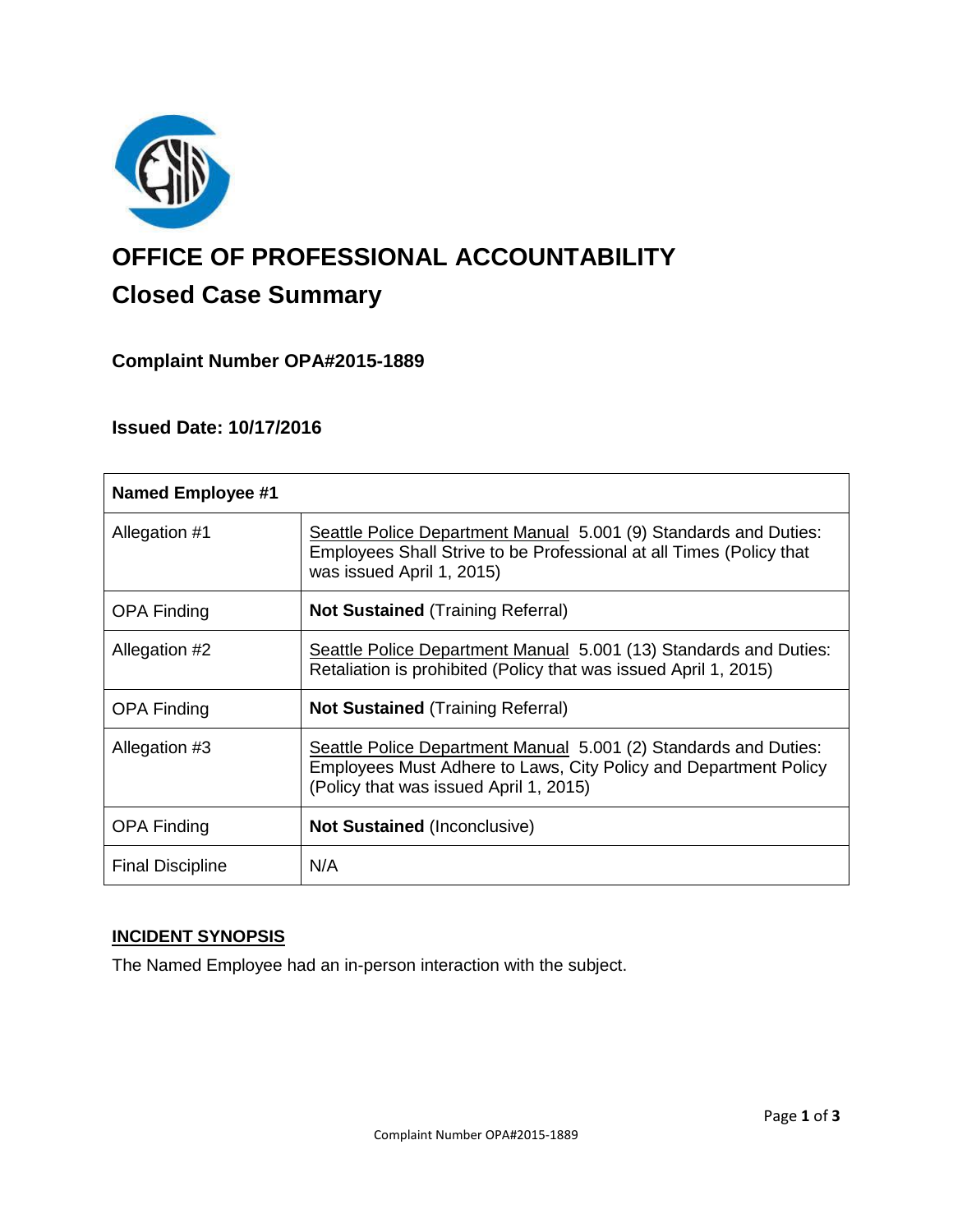

# **OFFICE OF PROFESSIONAL ACCOUNTABILITY Closed Case Summary**

## **Complaint Number OPA#2015-1889**

## **Issued Date: 10/17/2016**

| <b>Named Employee #1</b> |                                                                                                                                                                                |
|--------------------------|--------------------------------------------------------------------------------------------------------------------------------------------------------------------------------|
| Allegation #1            | Seattle Police Department Manual 5.001 (9) Standards and Duties:<br>Employees Shall Strive to be Professional at all Times (Policy that<br>was issued April 1, 2015)           |
| <b>OPA Finding</b>       | <b>Not Sustained (Training Referral)</b>                                                                                                                                       |
| Allegation #2            | Seattle Police Department Manual 5.001 (13) Standards and Duties:<br>Retaliation is prohibited (Policy that was issued April 1, 2015)                                          |
| <b>OPA Finding</b>       | <b>Not Sustained (Training Referral)</b>                                                                                                                                       |
| Allegation #3            | Seattle Police Department Manual 5.001 (2) Standards and Duties:<br>Employees Must Adhere to Laws, City Policy and Department Policy<br>(Policy that was issued April 1, 2015) |
| <b>OPA Finding</b>       | <b>Not Sustained (Inconclusive)</b>                                                                                                                                            |
| <b>Final Discipline</b>  | N/A                                                                                                                                                                            |

## **INCIDENT SYNOPSIS**

The Named Employee had an in-person interaction with the subject.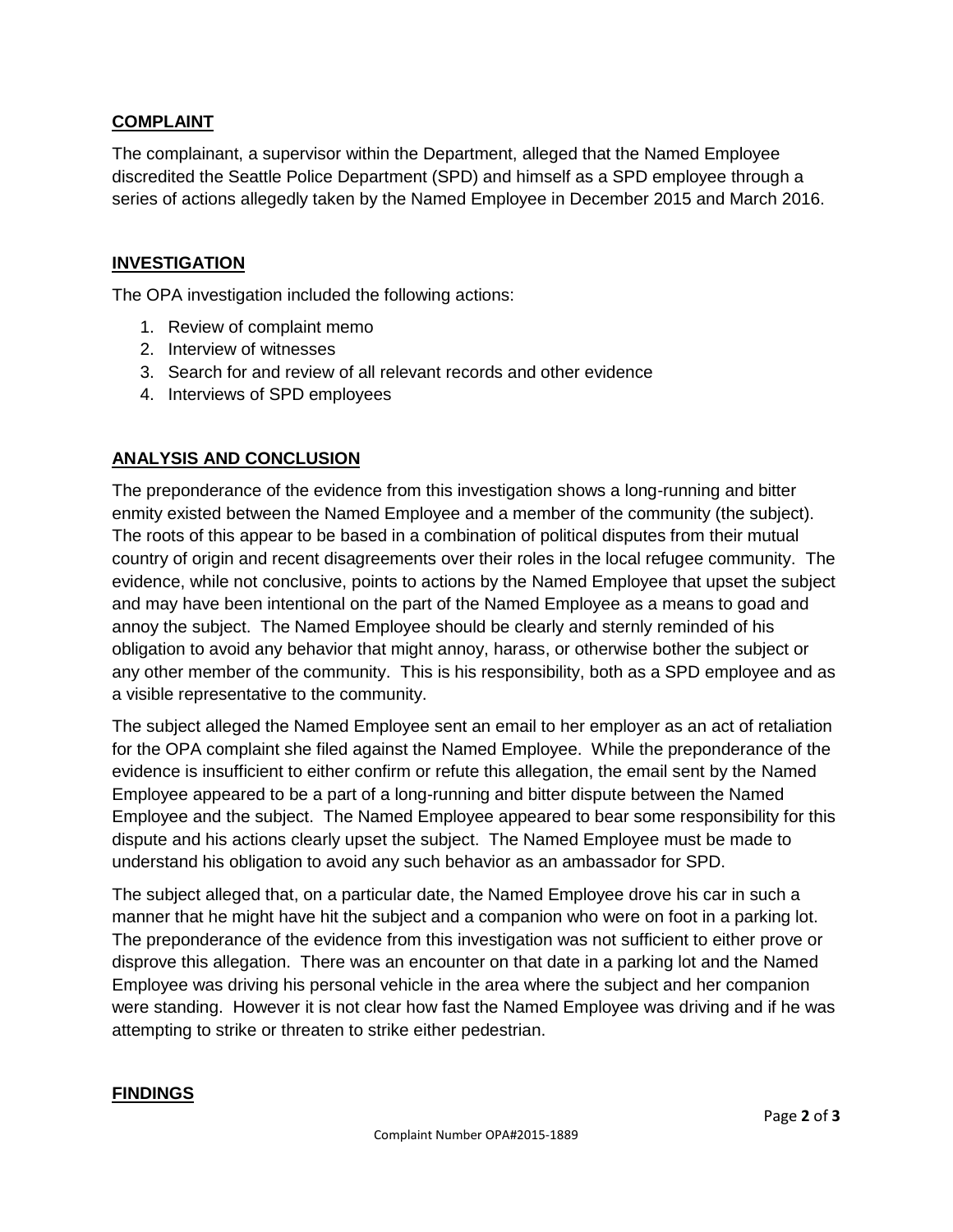## **COMPLAINT**

The complainant, a supervisor within the Department, alleged that the Named Employee discredited the Seattle Police Department (SPD) and himself as a SPD employee through a series of actions allegedly taken by the Named Employee in December 2015 and March 2016.

## **INVESTIGATION**

The OPA investigation included the following actions:

- 1. Review of complaint memo
- 2. Interview of witnesses
- 3. Search for and review of all relevant records and other evidence
- 4. Interviews of SPD employees

## **ANALYSIS AND CONCLUSION**

The preponderance of the evidence from this investigation shows a long-running and bitter enmity existed between the Named Employee and a member of the community (the subject). The roots of this appear to be based in a combination of political disputes from their mutual country of origin and recent disagreements over their roles in the local refugee community. The evidence, while not conclusive, points to actions by the Named Employee that upset the subject and may have been intentional on the part of the Named Employee as a means to goad and annoy the subject. The Named Employee should be clearly and sternly reminded of his obligation to avoid any behavior that might annoy, harass, or otherwise bother the subject or any other member of the community. This is his responsibility, both as a SPD employee and as a visible representative to the community.

The subject alleged the Named Employee sent an email to her employer as an act of retaliation for the OPA complaint she filed against the Named Employee. While the preponderance of the evidence is insufficient to either confirm or refute this allegation, the email sent by the Named Employee appeared to be a part of a long-running and bitter dispute between the Named Employee and the subject. The Named Employee appeared to bear some responsibility for this dispute and his actions clearly upset the subject. The Named Employee must be made to understand his obligation to avoid any such behavior as an ambassador for SPD.

The subject alleged that, on a particular date, the Named Employee drove his car in such a manner that he might have hit the subject and a companion who were on foot in a parking lot. The preponderance of the evidence from this investigation was not sufficient to either prove or disprove this allegation. There was an encounter on that date in a parking lot and the Named Employee was driving his personal vehicle in the area where the subject and her companion were standing. However it is not clear how fast the Named Employee was driving and if he was attempting to strike or threaten to strike either pedestrian.

#### **FINDINGS**